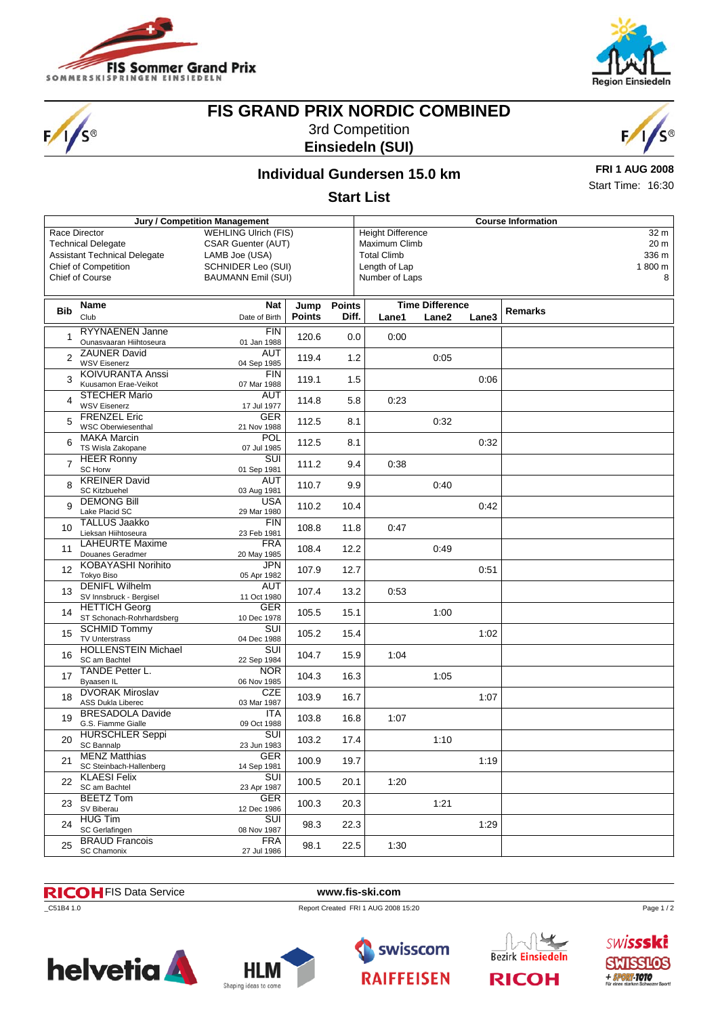



# 'S®

# **FIS GRAND PRIX NORDIC COMBINED** 3rd Competition

**Einsiedeln (SUI)**



## **Individual Gundersen 15.0 km**

**FRI 1 AUG 2008** Start Time: 16:30

#### **Start List**

|                                              |                                                | Jury / Competition Management |               | <b>Course Information</b> |                                 |       |                  |                |  |
|----------------------------------------------|------------------------------------------------|-------------------------------|---------------|---------------------------|---------------------------------|-------|------------------|----------------|--|
| <b>WEHLING Ulrich (FIS)</b><br>Race Director |                                                |                               |               |                           | <b>Height Difference</b>        |       | $\frac{1}{32}$ m |                |  |
| <b>Technical Delegate</b>                    |                                                | <b>CSAR Guenter (AUT)</b>     |               |                           | Maximum Climb                   |       |                  | 20 m           |  |
|                                              | <b>Assistant Technical Delegate</b>            | LAMB Joe (USA)                |               |                           | <b>Total Climb</b>              |       |                  | 336 m          |  |
| <b>Chief of Competition</b>                  |                                                | <b>SCHNIDER Leo (SUI)</b>     |               |                           |                                 |       |                  | 1800 m         |  |
|                                              |                                                | <b>BAUMANN Emil (SUI)</b>     |               |                           | Length of Lap<br>Number of Laps |       |                  |                |  |
|                                              | <b>Chief of Course</b>                         | 8                             |               |                           |                                 |       |                  |                |  |
|                                              |                                                |                               |               |                           |                                 |       |                  |                |  |
|                                              | Name<br>Nat                                    |                               | Jump          | <b>Points</b>             | <b>Time Difference</b>          |       |                  |                |  |
| <b>Bib</b>                                   | Club                                           | Date of Birth                 | <b>Points</b> | Diff.                     | Lane1                           | Lane2 | Lane3            | <b>Remarks</b> |  |
|                                              |                                                |                               |               |                           |                                 |       |                  |                |  |
| -1                                           | <b>RYYNAENEN Janne</b>                         | <b>FIN</b>                    | 120.6         | 0.0                       | 0:00                            |       |                  |                |  |
|                                              | Ounasvaaran Hiihtoseura                        | 01 Jan 1988                   |               |                           |                                 |       |                  |                |  |
| $\overline{2}$                               | <b>ZAUNER David</b>                            | AUT                           | 119.4         | 1.2                       |                                 | 0:05  |                  |                |  |
|                                              | <b>WSV Eisenerz</b>                            | 04 Sep 1985                   |               |                           |                                 |       |                  |                |  |
| 3                                            | <b>KOIVURANTA Anssi</b>                        | FIN                           | 119.1         | 1.5                       |                                 |       | 0:06             |                |  |
|                                              | Kuusamon Erae-Veikot                           | 07 Mar 1988                   |               |                           |                                 |       |                  |                |  |
|                                              | <b>STECHER Mario</b>                           | AUT                           |               |                           |                                 |       |                  |                |  |
| 4                                            | <b>WSV Eisenerz</b>                            | 17 Jul 1977                   | 114.8<br>5.8  |                           | 0:23                            |       |                  |                |  |
| 5                                            | <b>FRENZEL Eric</b>                            | <b>GER</b>                    |               | 8.1                       |                                 |       |                  |                |  |
|                                              | <b>WSC Oberwiesenthal</b>                      | 21 Nov 1988                   | 112.5         |                           |                                 | 0:32  |                  |                |  |
|                                              | <b>MAKA Marcin</b>                             | POL                           |               |                           |                                 |       |                  |                |  |
| 6                                            | TS Wisla Zakopane                              | 07 Jul 1985                   | 112.5         | 8.1                       |                                 |       | 0:32             |                |  |
| 7                                            | <b>HEER Ronny</b>                              | $\overline{\text{SUI}}$       |               |                           |                                 |       |                  |                |  |
|                                              | <b>SC Horw</b>                                 | 01 Sep 1981                   | 111.2         | 9.4                       |                                 | 0:38  |                  |                |  |
|                                              | <b>KREINER David</b>                           | AUT                           |               |                           |                                 |       |                  |                |  |
| 8                                            | <b>SC Kitzbuehel</b>                           | 03 Aug 1981                   | 110.7         | 9.9                       |                                 | 0:40  |                  |                |  |
|                                              | <b>DEMONG Bill</b>                             | USA                           |               |                           |                                 |       |                  |                |  |
| 9                                            | Lake Placid SC                                 | 29 Mar 1980                   | 110.2         | 10.4                      |                                 |       | 0:42             |                |  |
|                                              | <b>TALLUS Jaakko</b>                           | FIN                           |               |                           |                                 |       |                  |                |  |
| 10                                           | Lieksan Hiihtoseura                            | 23 Feb 1981                   | 108.8         | 11.8                      | 0:47                            |       |                  |                |  |
|                                              | <b>LAHEURTE Maxime</b>                         | <b>FRA</b>                    |               |                           |                                 |       |                  |                |  |
| 11                                           | Douanes Geradmer                               | 20 May 1985                   | 108.4         | 12.2                      |                                 | 0:49  |                  |                |  |
|                                              | <b>KOBAYASHI Norihito</b>                      | JPN                           |               |                           |                                 |       |                  |                |  |
| 12                                           | Tokyo Biso                                     | 05 Apr 1982                   | 107.9         | 12.7                      |                                 |       | 0:51             |                |  |
|                                              | <b>DENIFL Wilhelm</b>                          | AUT                           |               |                           |                                 |       |                  |                |  |
| 13                                           | SV Innsbruck - Bergisel                        | 11 Oct 1980                   | 107.4         | 13.2                      | 0:53                            |       |                  |                |  |
|                                              | <b>HETTICH Georg</b>                           | <b>GER</b>                    |               |                           |                                 |       |                  |                |  |
| 14                                           | ST Schonach-Rohrhardsberg                      | 10 Dec 1978                   | 105.5         | 15.1                      |                                 | 1:00  |                  |                |  |
|                                              | <b>SCHMID Tommy</b>                            | <b>SUI</b>                    |               |                           |                                 |       |                  |                |  |
| 15                                           | <b>TV Unterstrass</b>                          | 04 Dec 1988                   | 105.2         | 15.4                      |                                 |       | 1:02             |                |  |
|                                              | <b>HOLLENSTEIN Michael</b>                     | <b>SUI</b>                    |               |                           |                                 |       |                  |                |  |
| 16                                           | SC am Bachtel                                  | 22 Sep 1984                   | 104.7         | 15.9                      | 1:04                            |       |                  |                |  |
|                                              | <b>TANDE Petter L.</b>                         | <b>NOR</b>                    |               |                           |                                 |       |                  |                |  |
| 17                                           | Byaasen IL                                     | 06 Nov 1985                   | 104.3         | 16.3                      |                                 | 1:05  |                  |                |  |
|                                              | <b>DVORAK Miroslav</b>                         | <b>CZE</b>                    |               |                           |                                 |       |                  |                |  |
| 18                                           | ASS Dukla Liberec                              | 03 Mar 1987                   | 103.9         | 16.7                      |                                 |       | 1:07             |                |  |
|                                              | <b>BRESADOLA Davide</b>                        | ITA                           |               |                           |                                 |       |                  |                |  |
| 19                                           | G.S. Fiamme Gialle                             | 09 Oct 1988                   | 103.8         | 16.8                      | 1:07                            |       |                  |                |  |
|                                              |                                                | $\overline{\text{SUI}}$       |               |                           |                                 |       |                  |                |  |
| 20                                           | <b>HURSCHLER Seppi</b><br>SC Bannalp           | 23 Jun 1983                   | 103.2         | 17.4                      |                                 | 1:10  |                  |                |  |
|                                              |                                                |                               |               | 19.7                      |                                 |       |                  |                |  |
| 21                                           | <b>MENZ Matthias</b>                           | <b>GER</b>                    | 100.9         |                           |                                 |       | 1:19             |                |  |
|                                              | SC Steinbach-Hallenberg<br><b>KLAESI Felix</b> | 14 Sep 1981                   |               |                           |                                 |       |                  |                |  |
| 22                                           |                                                | SUI<br>23 Apr 1987            | 100.5         | 20.1                      | 1:20                            |       |                  |                |  |
|                                              | SC am Bachtel                                  |                               |               |                           |                                 |       |                  |                |  |
| 23                                           | <b>BEETZ Tom</b>                               | <b>GER</b>                    | 100.3         | 20.3                      |                                 | 1:21  |                  |                |  |
|                                              | SV Biberau                                     | 12 Dec 1986                   |               |                           |                                 |       |                  |                |  |
| 24                                           | <b>HUG Tim</b>                                 | SUI                           | 98.3          | 22.3                      |                                 |       | 1:29             |                |  |
|                                              | SC Gerlafingen                                 | 08 Nov 1987                   |               |                           |                                 |       |                  |                |  |
| 25                                           | <b>BRAUD Francois</b>                          | <b>FRA</b>                    | 98.1          | 22.5                      | 1:30                            |       |                  |                |  |
|                                              | <b>SC Chamonix</b>                             | 27 Jul 1986                   |               |                           |                                 |       |                  |                |  |

FIS Data Service **www.fis-ski.com**

\_C51B4 1.0 Report Created FRI 1 AUG 2008 15:20









Page 1/2